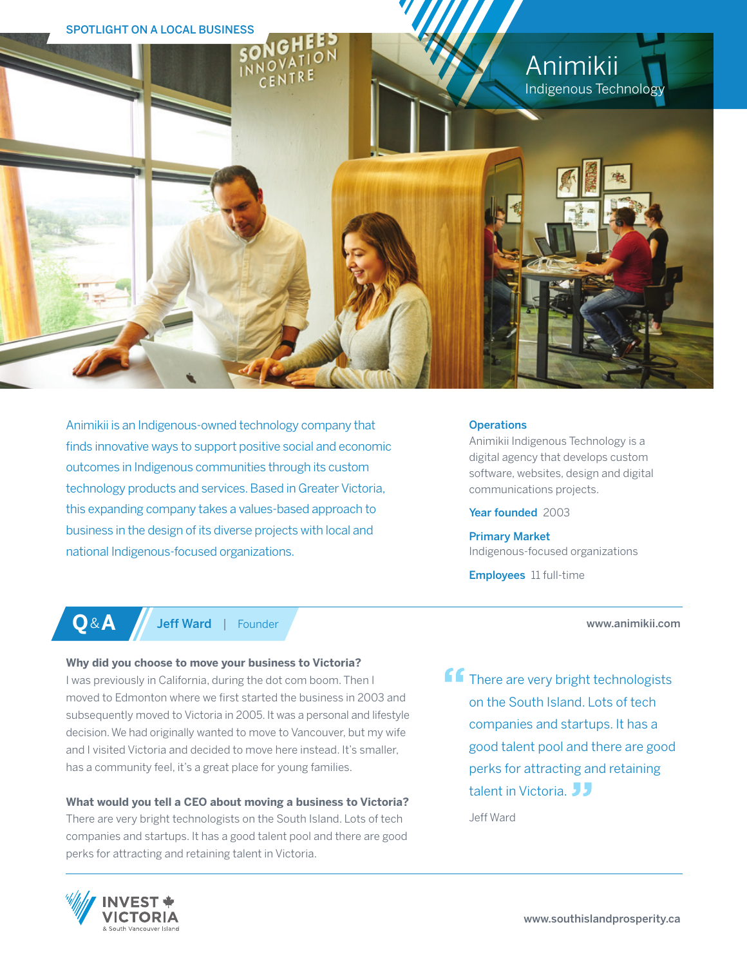

Animikii is an Indigenous-owned technology company that finds innovative ways to support positive social and economic outcomes in Indigenous communities through its custom technology products and services. Based in Greater Victoria, this expanding company takes a values-based approach to business in the design of its diverse projects with local and national Indigenous-focused organizations.

# **Operations**

Animikii Indigenous Technology is a digital agency that develops custom software, websites, design and digital communications projects.

Year founded 2003

Primary Market Indigenous-focused organizations

Employees 11 full-time

# www.animikii.com

**Q**&**A** Jeff Ward | Founder

# **Why did you choose to move your business to Victoria?**

I was previously in California, during the dot com boom. Then I moved to Edmonton where we first started the business in 2003 and subsequently moved to Victoria in 2005. It was a personal and lifestyle decision. We had originally wanted to move to Vancouver, but my wife and I visited Victoria and decided to move here instead. It's smaller, has a community feel, it's a great place for young families.

# **What would you tell a CEO about moving a business to Victoria?**

There are very bright technologists on the South Island. Lots of tech companies and startups. It has a good talent pool and there are good perks for attracting and retaining talent in Victoria.

**f** There are very bright technologists on the South Island. Lots of tech companies and startups. It has a good talent pool and there are good perks for attracting and retaining talent in Victoria. **JJ** 

Jeff Ward